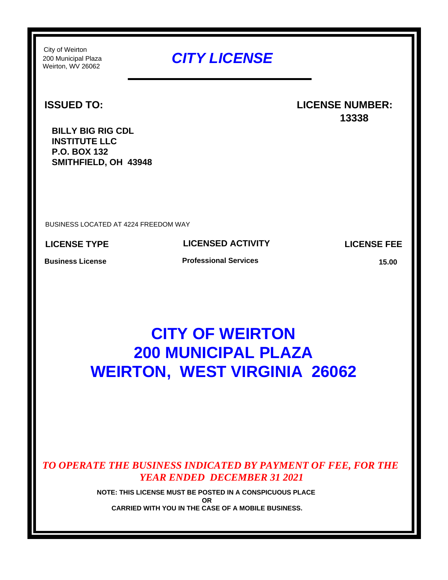Weirton, WV 26062 City of Weirton

## 200 Municipal Plaza *CITY LICENSE*

#### **ISSUED TO:**

### **LICENSE NUMBER: 13338**

**BILLY BIG RIG CDL INSTITUTE LLC P.O. BOX 132 SMITHFIELD, OH 43948**

BUSINESS LOCATED AT 4224 FREEDOM WAY

**LICENSE TYPE**

**LICENSED ACTIVITY**

**LICENSE FEE**

**Business License**

**Professional Services**

**15.00**

# **CITY OF WEIRTON 200 MUNICIPAL PLAZA WEIRTON, WEST VIRGINIA 26062**

*TO OPERATE THE BUSINESS INDICATED BY PAYMENT OF FEE, FOR THE YEAR ENDED DECEMBER 31 2021*

> **NOTE: THIS LICENSE MUST BE POSTED IN A CONSPICUOUS PLACE OR CARRIED WITH YOU IN THE CASE OF A MOBILE BUSINESS.**